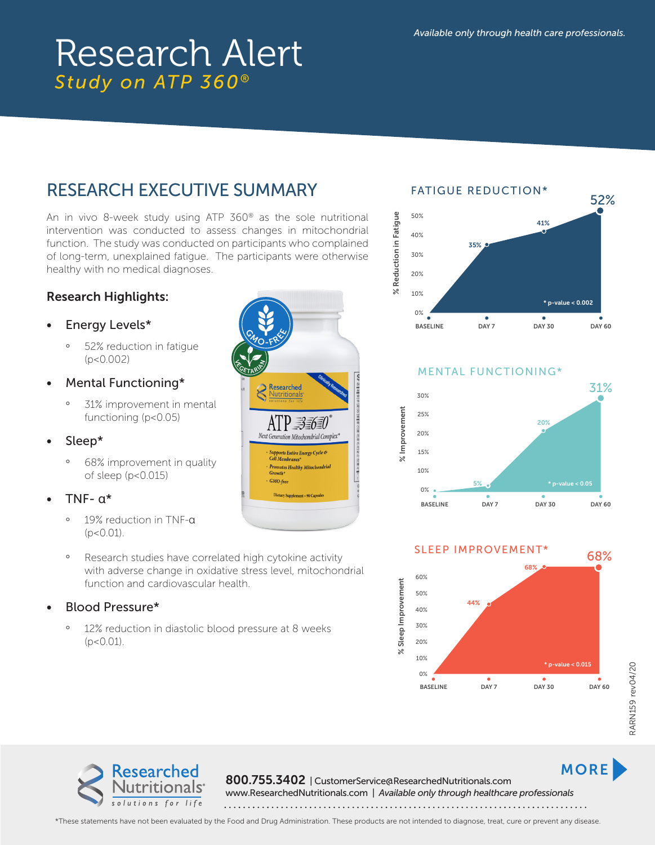# RESEARCH EXECUTIVE SUMMARY

An in vivo 8-week study using ATP 360® as the sole nutritional intervention was conducted to assess changes in mitochondrial function. The study was conducted on participants who complained of long-term, unexplained fatigue. The participants were otherwise healthy with no medical diagnoses.

#### Research Highlights:

- Energy Levels\*
	- ° 52% reduction in fatigue (p<0.002)
- Mental Functioning\*
	- ° 31% improvement in mental functioning (p<0.05)
- Sleep\*
	- ° 68% improvement in quality of sleep (p<0.015)
- TNF- α\*
	- ° 19% reduction in TNF-α  $(p < 0.01)$ .
	- ° Research studies have correlated high cytokine activity with adverse change in oxidative stress level, mitochondrial function and cardiovascular health.
- Blood Pressure\*
	- ° 12% reduction in diastolic blood pressure at 8 weeks  $(p < 0.01)$ .





MENTAL FUNCTIONING\*





MORE<sup>1</sup>



800.755.3402 | CustomerService@ResearchedNutritionals.com

www.ResearchedNutritionals.com | *Available only through healthcare professionals* 

\*These statements have not been evaluated by the Food and Drug Administration. These products are not intended to diagnose, treat, cure or prevent any disease.